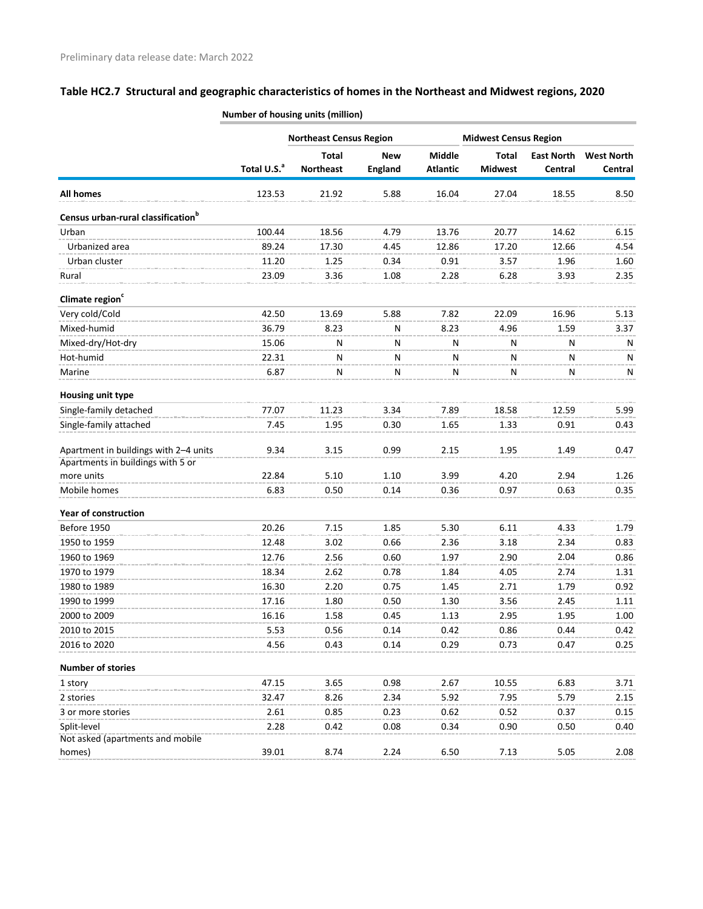|                                                                            | <b>Northeast Census Region</b><br><b>Midwest Census Region</b> |                  |                |                 |                |                   |                   |
|----------------------------------------------------------------------------|----------------------------------------------------------------|------------------|----------------|-----------------|----------------|-------------------|-------------------|
|                                                                            |                                                                | <b>Total</b>     | <b>New</b>     | <b>Middle</b>   | <b>Total</b>   | <b>East North</b> | <b>West North</b> |
|                                                                            | Total U.S. <sup>a</sup>                                        | <b>Northeast</b> | <b>England</b> | <b>Atlantic</b> | <b>Midwest</b> | Central           | Central           |
| <b>All homes</b>                                                           | 123.53                                                         | 21.92            | 5.88           | 16.04           | 27.04          | 18.55             | 8.50              |
| Census urban-rural classification <sup>b</sup>                             |                                                                |                  |                |                 |                |                   |                   |
| Urban                                                                      | 100.44                                                         | 18.56            | 4.79           | 13.76           | 20.77          | 14.62             | 6.15              |
| Urbanized area                                                             | 89.24                                                          | 17.30            | 4.45           | 12.86           | 17.20          | 12.66             | 4.54              |
| Urban cluster                                                              | 11.20                                                          | 1.25             | 0.34           | 0.91            | 3.57           | 1.96              | 1.60              |
| Rural                                                                      | 23.09                                                          | 3.36             | 1.08           | 2.28            | 6.28           | 3.93              | 2.35              |
| Climate region <sup>c</sup>                                                |                                                                |                  |                |                 |                |                   |                   |
| Very cold/Cold                                                             | 42.50                                                          | 13.69            | 5.88           | 7.82            | 22.09          | 16.96             | 5.13              |
| Mixed-humid                                                                | 36.79                                                          | 8.23             | N              | 8.23            | 4.96           | 1.59              | 3.37              |
| Mixed-dry/Hot-dry                                                          | 15.06                                                          | N                | Ν              | N               | Ν              | N                 | N                 |
| Hot-humid                                                                  | 22.31                                                          | Ν                | Ν              | Ν               | Ν              | N                 | Ν                 |
| Marine                                                                     | 6.87                                                           | N                | N              | N               | N              | N                 | N                 |
| Housing unit type                                                          |                                                                |                  |                |                 |                |                   |                   |
| Single-family detached                                                     | 77.07                                                          | 11.23            | 3.34           | 7.89            | 18.58          | 12.59             | 5.99              |
| Single-family attached                                                     | 7.45                                                           | 1.95             | 0.30           | 1.65            | 1.33           | 0.91              | 0.43              |
| Apartment in buildings with 2-4 units<br>Apartments in buildings with 5 or | 9.34                                                           | 3.15             | 0.99           | 2.15            | 1.95           | 1.49              | 0.47              |
| more units                                                                 | 22.84                                                          | 5.10             | 1.10           | 3.99            | 4.20           | 2.94              | 1.26              |
| Mobile homes                                                               | 6.83                                                           | 0.50             | 0.14           | 0.36            | 0.97           | 0.63              | 0.35              |
| <b>Year of construction</b>                                                |                                                                |                  |                |                 |                |                   |                   |
| Before 1950                                                                | 20.26                                                          | 7.15             | 1.85           | 5.30            | 6.11           | 4.33              | 1.79              |
| 1950 to 1959                                                               | 12.48                                                          | 3.02             | 0.66           | 2.36            | 3.18           | 2.34              | 0.83              |
| 1960 to 1969                                                               | 12.76                                                          | 2.56             | 0.60           | 1.97            | 2.90           | 2.04              | 0.86              |
| 1970 to 1979                                                               | 18.34                                                          | 2.62             | 0.78           | 1.84            | 4.05           | 2.74              | 1.31              |
| 1980 to 1989                                                               | 16.30                                                          | 2.20             | 0.75           | 1.45            | 2.71           | 1.79              | 0.92              |
| 1990 to 1999                                                               | 17.16                                                          | 1.80             | 0.50           | 1.30            | 3.56           | 2.45              | 1.11              |
| 2000 to 2009                                                               | 16.16                                                          | 1.58             | 0.45           | 1.13            | 2.95           | 1.95              | 1.00              |
| 2010 to 2015                                                               | 5.53                                                           | 0.56             | 0.14           | 0.42            | 0.86           | 0.44              | 0.42              |
| 2016 to 2020                                                               | 4.56                                                           | 0.43             | 0.14           | 0.29            | 0.73           | 0.47              | 0.25              |
| <b>Number of stories</b>                                                   |                                                                |                  |                |                 |                |                   |                   |
| 1 story                                                                    | 47.15                                                          | 3.65             | 0.98           | 2.67            | 10.55          | 6.83              | 3.71              |
| 2 stories                                                                  | 32.47                                                          | 8.26             | 2.34           | 5.92            | 7.95           | 5.79              | 2.15              |
| 3 or more stories                                                          | 2.61                                                           | 0.85             | 0.23           | 0.62            | 0.52           | 0.37              | 0.15              |
| Split-level                                                                | 2.28                                                           | 0.42             | 0.08           | 0.34            | 0.90           | 0.50              | 0.40              |
| Not asked (apartments and mobile                                           |                                                                |                  |                |                 |                |                   |                   |
| homes)                                                                     | 39.01                                                          | 8.74             | 2.24           | 6.50            | 7.13           | 5.05              | 2.08              |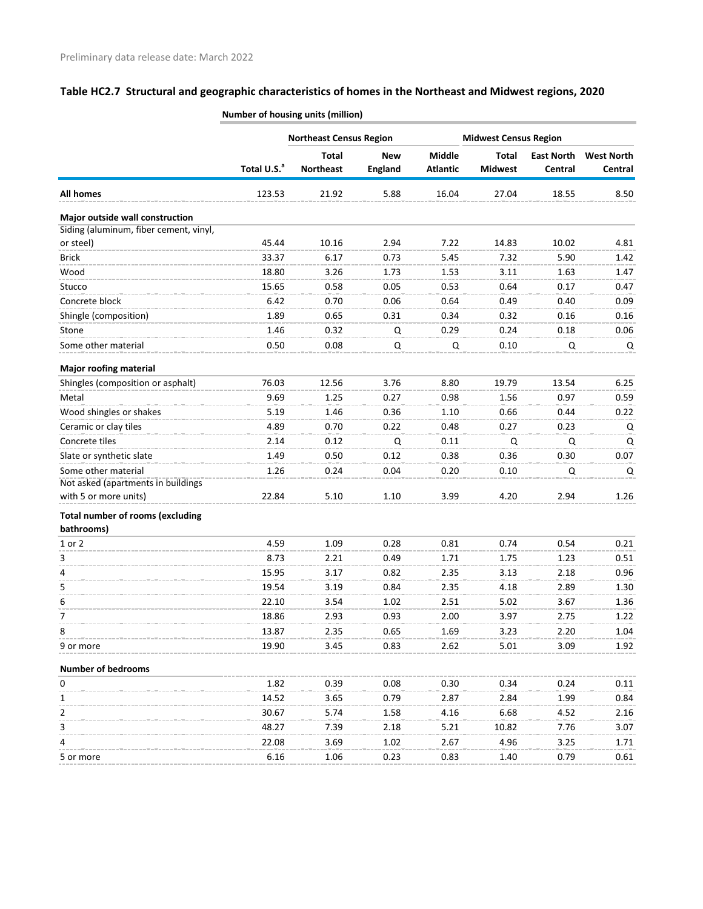|                                                       | <b>Northeast Census Region</b> |                                  |                              |                                  | <b>Midwest Census Region</b>   |                              |                              |  |
|-------------------------------------------------------|--------------------------------|----------------------------------|------------------------------|----------------------------------|--------------------------------|------------------------------|------------------------------|--|
|                                                       | Total U.S. <sup>a</sup>        | <b>Total</b><br><b>Northeast</b> | <b>New</b><br><b>England</b> | <b>Middle</b><br><b>Atlantic</b> | <b>Total</b><br><b>Midwest</b> | <b>East North</b><br>Central | <b>West North</b><br>Central |  |
| <b>All homes</b>                                      | 123.53                         | 21.92                            | 5.88                         | 16.04                            | 27.04                          | 18.55                        | 8.50                         |  |
| Major outside wall construction                       |                                |                                  |                              |                                  |                                |                              |                              |  |
| Siding (aluminum, fiber cement, vinyl,                |                                |                                  |                              |                                  |                                |                              |                              |  |
| or steel)                                             | 45.44                          | 10.16                            | 2.94                         | 7.22                             | 14.83                          | 10.02                        | 4.81                         |  |
| <b>Brick</b>                                          | 33.37                          | 6.17                             | 0.73                         | 5.45                             | 7.32                           | 5.90                         | 1.42                         |  |
| Wood                                                  | 18.80                          | 3.26                             | 1.73                         | 1.53                             | 3.11                           | 1.63                         | 1.47                         |  |
| Stucco                                                | 15.65                          | 0.58                             | 0.05                         | 0.53                             | 0.64                           | 0.17                         | 0.47                         |  |
| Concrete block                                        | 6.42                           | 0.70                             | 0.06                         | 0.64                             | 0.49                           | 0.40                         | 0.09                         |  |
| Shingle (composition)                                 | 1.89                           | 0.65                             | 0.31                         | 0.34                             | 0.32                           | 0.16                         | 0.16                         |  |
| Stone                                                 | 1.46                           | 0.32                             | Q                            | 0.29                             | 0.24                           | 0.18                         | 0.06                         |  |
| Some other material                                   | 0.50                           | 0.08                             | Q                            | Q                                | 0.10                           | Q                            | Q                            |  |
| <b>Major roofing material</b>                         |                                |                                  |                              |                                  |                                |                              |                              |  |
| Shingles (composition or asphalt)                     | 76.03                          | 12.56                            | 3.76                         | 8.80                             | 19.79                          | 13.54                        | 6.25                         |  |
| Metal                                                 | 9.69                           | 1.25                             | 0.27                         | 0.98                             | 1.56                           | 0.97                         | 0.59                         |  |
| Wood shingles or shakes                               | 5.19                           | 1.46                             | 0.36                         | 1.10                             | 0.66                           | 0.44                         | 0.22                         |  |
| Ceramic or clay tiles                                 | 4.89                           | 0.70                             | 0.22                         | 0.48                             | 0.27                           | 0.23                         | Q                            |  |
| Concrete tiles                                        | 2.14                           | 0.12                             | $\mathsf Q$                  | 0.11                             | $\mathsf Q$                    | Q                            | $\mathsf Q$                  |  |
| Slate or synthetic slate                              | 1.49                           | 0.50                             | 0.12                         | 0.38                             | 0.36                           | 0.30                         | 0.07                         |  |
| Some other material                                   | 1.26                           | 0.24                             | 0.04                         | 0.20                             | 0.10                           | Q                            | Q                            |  |
| Not asked (apartments in buildings                    |                                |                                  |                              |                                  |                                |                              |                              |  |
| with 5 or more units)                                 | 22.84                          | 5.10                             | 1.10                         | 3.99                             | 4.20                           | 2.94                         | 1.26                         |  |
| <b>Total number of rooms (excluding</b><br>bathrooms) |                                |                                  |                              |                                  |                                |                              |                              |  |
| $1$ or $2$                                            | 4.59                           | 1.09                             | 0.28                         | 0.81                             | 0.74                           | 0.54                         | 0.21                         |  |
| 3                                                     | 8.73                           | 2.21                             | 0.49                         | 1.71                             | 1.75                           | 1.23                         | 0.51                         |  |
| 4                                                     | 15.95                          | 3.17                             | 0.82                         | 2.35                             | 3.13                           | 2.18                         | 0.96                         |  |
| 5                                                     | 19.54                          | 3.19                             | 0.84                         | 2.35                             | 4.18                           | 2.89                         | 1.30                         |  |
| 6                                                     | 22.10                          | 3.54                             | 1.02                         | 2.51                             | 5.02                           | 3.67                         | 1.36                         |  |
| 7                                                     | 18.86                          | 2.93                             | 0.93                         | 2.00                             | 3.97                           | 2.75                         | 1.22                         |  |
| 8                                                     | 13.87                          | 2.35                             | 0.65                         | 1.69                             | 3.23                           | 2.20                         | 1.04                         |  |
| 9 or more                                             | 19.90                          | 3.45                             | 0.83                         | 2.62                             | 5.01                           | 3.09                         | 1.92                         |  |
| <b>Number of bedrooms</b>                             |                                |                                  |                              |                                  |                                |                              |                              |  |
| 0                                                     | 1.82                           | 0.39                             | 0.08                         | 0.30                             | 0.34                           | 0.24                         | 0.11                         |  |
| 1                                                     | 14.52                          | 3.65                             | 0.79                         | 2.87                             | 2.84                           | 1.99                         | 0.84                         |  |
| 2                                                     | 30.67                          | 5.74                             | 1.58                         | 4.16                             | 6.68                           | 4.52                         | 2.16                         |  |
| 3                                                     | 48.27                          | 7.39                             | 2.18                         | 5.21                             | 10.82                          | 7.76                         | 3.07                         |  |
| 4                                                     | 22.08                          | 3.69                             | 1.02                         | 2.67                             | 4.96                           | 3.25                         | 1.71                         |  |
| 5 or more                                             | 6.16                           | 1.06                             | 0.23                         | 0.83                             | 1.40                           | 0.79                         | 0.61                         |  |
|                                                       |                                |                                  |                              |                                  |                                |                              |                              |  |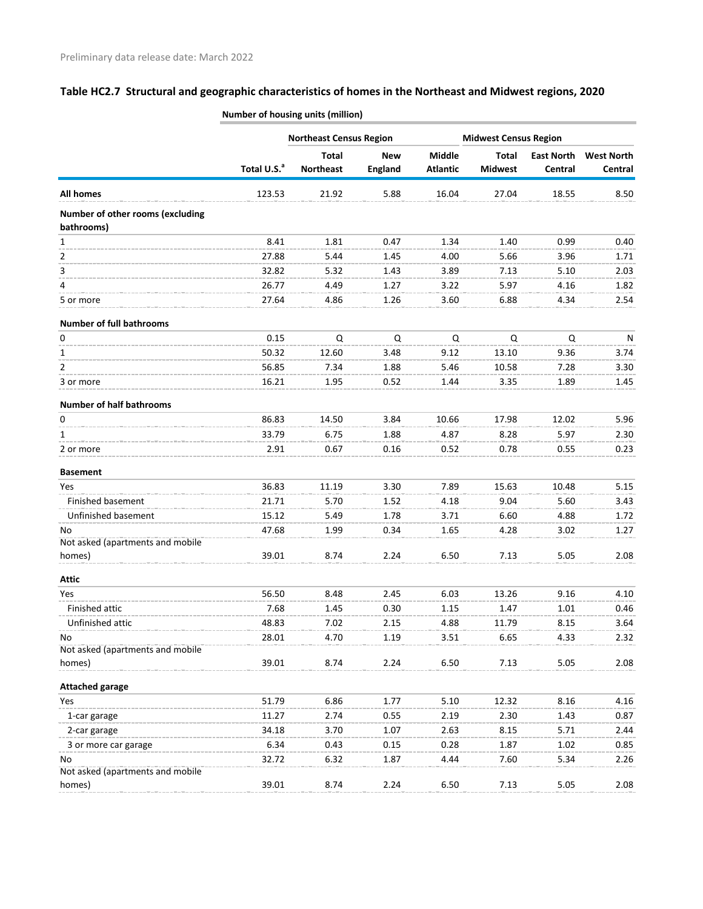|                                                | <b>Northeast Census Region</b> |                  |                | <b>Midwest Census Region</b> |                |                   |                   |
|------------------------------------------------|--------------------------------|------------------|----------------|------------------------------|----------------|-------------------|-------------------|
|                                                |                                | <b>Total</b>     | <b>New</b>     | <b>Middle</b>                | <b>Total</b>   | <b>East North</b> | <b>West North</b> |
|                                                | Total U.S. <sup>a</sup>        | <b>Northeast</b> | <b>England</b> | <b>Atlantic</b>              | <b>Midwest</b> | Central           | Central           |
| <b>All homes</b>                               | 123.53                         | 21.92            | 5.88           | 16.04                        | 27.04          | 18.55             | 8.50              |
| Number of other rooms (excluding<br>bathrooms) |                                |                  |                |                              |                |                   |                   |
| 1                                              | 8.41                           | 1.81             | 0.47           | 1.34                         | 1.40           | 0.99              | 0.40              |
| $\overline{2}$                                 | 27.88                          | 5.44             | 1.45           | 4.00                         | 5.66           | 3.96              | 1.71              |
| 3                                              | 32.82                          | 5.32             | 1.43           | 3.89                         | 7.13           | 5.10              | 2.03              |
| 4                                              | 26.77                          | 4.49             | 1.27           | 3.22                         | 5.97           | 4.16              | 1.82              |
| 5 or more                                      | 27.64                          | 4.86             | 1.26           | 3.60                         | 6.88           | 4.34              | 2.54              |
| <b>Number of full bathrooms</b>                |                                |                  |                |                              |                |                   |                   |
| 0                                              | 0.15                           | Q                | Q              | Q                            | Q              | Q                 | N                 |
| 1                                              | 50.32                          | 12.60            | 3.48           | 9.12                         | 13.10          | 9.36              | 3.74              |
| 2                                              | 56.85                          | 7.34             | 1.88           | 5.46                         | 10.58          | 7.28              | 3.30              |
| 3 or more                                      | 16.21                          | 1.95             | 0.52           | 1.44                         | 3.35           | 1.89              | 1.45              |
| <b>Number of half bathrooms</b>                |                                |                  |                |                              |                |                   |                   |
| 0                                              | 86.83                          | 14.50            | 3.84           | 10.66                        | 17.98          | 12.02             | 5.96              |
| 1                                              | 33.79                          | 6.75             | 1.88           | 4.87                         | 8.28           | 5.97              | 2.30              |
| 2 or more                                      | 2.91                           | 0.67             | 0.16           | 0.52                         | 0.78           | 0.55              | 0.23              |
| <b>Basement</b>                                |                                |                  |                |                              |                |                   |                   |
| Yes                                            | 36.83                          | 11.19            | 3.30           | 7.89                         | 15.63          | 10.48             | 5.15              |
| Finished basement                              | 21.71                          | 5.70             | 1.52           | 4.18                         | 9.04           | 5.60              | 3.43              |
| Unfinished basement                            | 15.12                          | 5.49             | 1.78           | 3.71                         | 6.60           | 4.88              | 1.72              |
| No.                                            | 47.68                          | 1.99             | 0.34           | 1.65                         | 4.28           | 3.02              | 1.27              |
| Not asked (apartments and mobile               |                                |                  |                |                              |                |                   |                   |
| homes)                                         | 39.01                          | 8.74             | 2.24           | 6.50                         | 7.13           | 5.05              | 2.08              |
| <b>Attic</b>                                   |                                |                  |                |                              |                |                   |                   |
| Yes                                            | 56.50                          | 8.48             | 2.45           | 6.03                         | 13.26          | 9.16              | 4.10              |
| Finished attic                                 | 7.68                           | 1.45             | 0.30           | 1.15                         | 1.47           | 1.01              | 0.46              |
| Unfinished attic                               | 48.83                          | 7.02             | 2.15           | 4.88                         | 11.79          | 8.15              | 3.64              |
| No                                             | 28.01                          | 4.70             | 1.19           | 3.51                         | 6.65           | 4.33              | 2.32              |
| Not asked (apartments and mobile               |                                |                  |                |                              |                |                   |                   |
| homes)                                         | 39.01                          | 8.74             | 2.24           | 6.50                         | 7.13           | 5.05              | 2.08              |
| <b>Attached garage</b>                         |                                |                  |                |                              |                |                   |                   |
| Yes                                            | 51.79                          | 6.86             | 1.77           | 5.10                         | 12.32          | 8.16              | 4.16              |
| 1-car garage                                   | 11.27                          | 2.74             | 0.55           | 2.19                         | 2.30           | 1.43              | 0.87              |
| 2-car garage                                   | 34.18                          | 3.70             | 1.07           | 2.63                         | 8.15           | 5.71              | 2.44              |
| 3 or more car garage                           | 6.34                           | 0.43             | 0.15           | 0.28                         | 1.87           | 1.02              | 0.85              |
| No<br>Not asked (apartments and mobile         | 32.72                          | 6.32             | 1.87           | 4.44                         | 7.60           | 5.34              | 2.26              |
| homes)                                         | 39.01                          | 8.74             | 2.24           | 6.50                         | 7.13           | 5.05              | 2.08              |
|                                                |                                |                  |                |                              |                |                   |                   |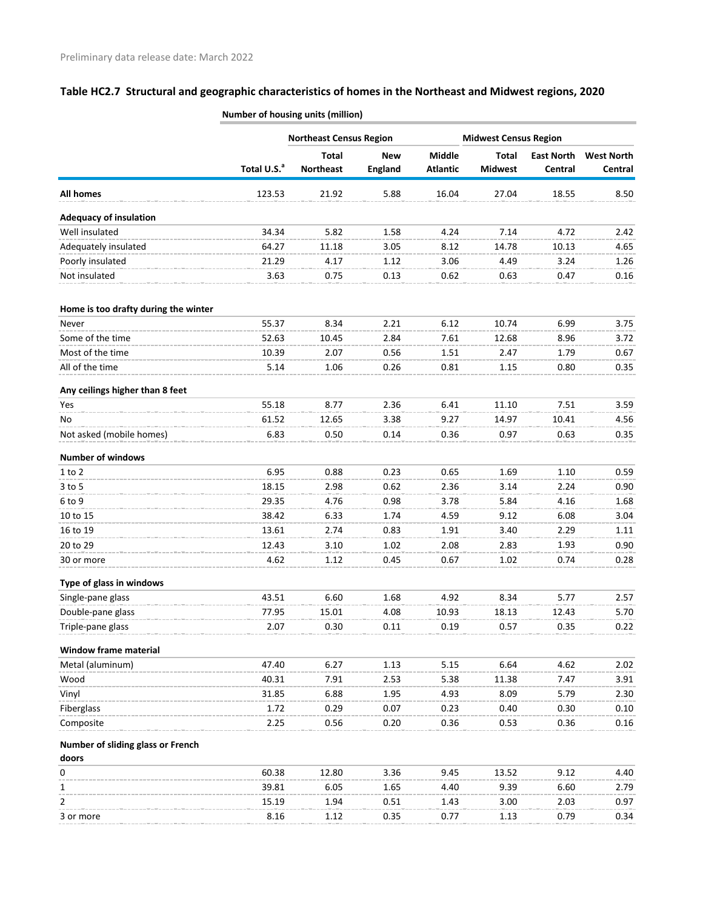|                                      |                         | <b>Northeast Census Region</b> |                | <b>Midwest Census Region</b> |                |                   |                   |
|--------------------------------------|-------------------------|--------------------------------|----------------|------------------------------|----------------|-------------------|-------------------|
|                                      |                         | <b>Total</b>                   | <b>New</b>     | <b>Middle</b>                | <b>Total</b>   | <b>East North</b> | <b>West North</b> |
|                                      | Total U.S. <sup>a</sup> | <b>Northeast</b>               | <b>England</b> | <b>Atlantic</b>              | <b>Midwest</b> | Central           | Central           |
| <b>All homes</b>                     | 123.53                  | 21.92                          | 5.88           | 16.04                        | 27.04          | 18.55             | 8.50              |
| <b>Adequacy of insulation</b>        |                         |                                |                |                              |                |                   |                   |
| Well insulated                       | 34.34                   | 5.82                           | 1.58           | 4.24                         | 7.14           | 4.72              | 2.42              |
| Adequately insulated                 | 64.27                   | 11.18                          | 3.05           | 8.12                         | 14.78          | 10.13             | 4.65              |
| Poorly insulated                     | 21.29                   | 4.17                           | 1.12           | 3.06                         | 4.49           | 3.24              | 1.26              |
| Not insulated                        | 3.63                    | 0.75                           | 0.13           | 0.62                         | 0.63           | 0.47              | 0.16              |
| Home is too drafty during the winter |                         |                                |                |                              |                |                   |                   |
| Never                                | 55.37                   | 8.34                           | 2.21           | 6.12                         | 10.74          | 6.99              | 3.75              |
| Some of the time                     | 52.63                   | 10.45                          | 2.84           | 7.61                         | 12.68          | 8.96              | 3.72              |
| Most of the time                     | 10.39                   | 2.07                           | 0.56           | 1.51                         | 2.47           | 1.79              | 0.67              |
| All of the time                      | 5.14                    | 1.06                           | 0.26           | 0.81                         | 1.15           | 0.80              | 0.35              |
| Any ceilings higher than 8 feet      |                         |                                |                |                              |                |                   |                   |
| Yes                                  | 55.18                   | 8.77                           | 2.36           | 6.41                         | 11.10          | 7.51              | 3.59              |
| No                                   | 61.52                   | 12.65                          | 3.38           | 9.27                         | 14.97          | 10.41             | 4.56              |
| Not asked (mobile homes)             | 6.83                    | 0.50                           | 0.14           | 0.36                         | 0.97           | 0.63              | 0.35              |
| <b>Number of windows</b>             |                         |                                |                |                              |                |                   |                   |
| $1$ to $2$                           | 6.95                    | 0.88                           | 0.23           | 0.65                         | 1.69           | 1.10              | 0.59              |
| $3$ to 5                             | 18.15                   | 2.98                           | 0.62           | 2.36                         | 3.14           | 2.24              | 0.90              |
| 6 to 9                               | 29.35                   | 4.76                           | 0.98           | 3.78                         | 5.84           | 4.16              | 1.68              |
| 10 to 15                             | 38.42                   | 6.33                           | 1.74           | 4.59                         | 9.12           | 6.08              | 3.04              |
| 16 to 19                             | 13.61                   | 2.74                           | 0.83           | 1.91                         | 3.40           | 2.29              | 1.11              |
| 20 to 29                             | 12.43                   | 3.10                           | 1.02           | 2.08                         | 2.83           | 1.93              | 0.90              |
| 30 or more                           | 4.62                    | 1.12                           | 0.45           | 0.67                         | 1.02           | 0.74              | 0.28              |
| Type of glass in windows             |                         |                                |                |                              |                |                   |                   |
| Single-pane glass                    | 43.51                   | 6.60                           | 1.68           | 4.92                         | 8.34           | 5.77              | 2.57              |
| Double-pane glass                    | 77.95                   | 15.01                          | 4.08           | 10.93                        | 18.13          | 12.43             | 5.70              |
| Triple-pane glass                    | 2.07                    | 0.30                           | 0.11           | 0.19                         | 0.57           | 0.35              | 0.22              |
| <b>Window frame material</b>         |                         |                                |                |                              |                |                   |                   |
| Metal (aluminum)                     | 47.40                   | 6.27                           | 1.13           | 5.15                         | 6.64           | 4.62              | 2.02              |
| Wood                                 | 40.31                   | 7.91                           | 2.53           | 5.38                         | 11.38          | 7.47              | 3.91              |
| Vinyl                                | 31.85                   | 6.88                           | 1.95           | 4.93                         | 8.09           | 5.79              | 2.30              |
| Fiberglass                           | 1.72                    | 0.29                           | 0.07           | 0.23                         | 0.40           | 0.30              | 0.10              |
| Composite                            | 2.25                    | 0.56                           | 0.20           | 0.36                         | 0.53           | 0.36              | 0.16              |
| Number of sliding glass or French    |                         |                                |                |                              |                |                   |                   |
| doors<br>0                           | 60.38                   | 12.80                          | 3.36           | 9.45                         | 13.52          | 9.12              | 4.40              |
| 1                                    | 39.81                   | 6.05                           | 1.65           | 4.40                         | 9.39           | 6.60              | 2.79              |
| 2                                    | 15.19                   | 1.94                           | 0.51           | 1.43                         | 3.00           | 2.03              | 0.97              |
| 3 or more                            | 8.16                    | 1.12                           | 0.35           | 0.77                         | 1.13           | 0.79              | 0.34              |
|                                      |                         |                                |                |                              |                |                   |                   |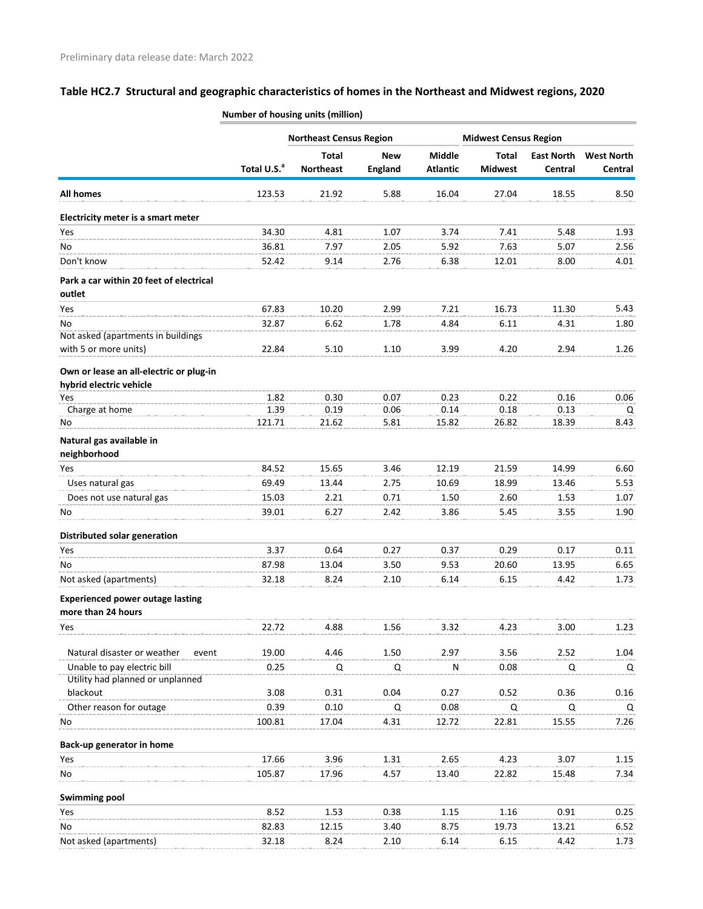#### **Total U.S.<sup>a</sup> Total Northeast New England Middle Atlantic Total Midwest East North Central West North Central All homes** 123.53 21.92 5.88 16.04 27.04 18.55 8.50 **Northeast Census Region Midwest Census Region Electricity meter is a smart meter** Yes 34.30 4.81 1.07 3.74 7.41 5.48 1.93 No 36.81 7.97 2.05 5.92 7.63 5.07 2.56 Don't know 52.42 9.14 2.76 6.38 12.01 8.00 4.01 **Park a car within 20 feet of electrical outlet** Yes 67.83 10.20 2.99 7.21 16.73 11.30 5.43 No 32.87 6.62 1.78 4.84 6.11 4.31 1.80 Not asked (apartments in buildings with 5 or more units) <br>22.84 5.10 1.10 3.99 4.20 2.94 1.26 **Own or lease an all-electric or plug-in hybrid electric vehicle** Yes 1.82 0.30 0.07 0.23 0.22 0.16 0.06 Charge at home 1.39 0.19 0.06 0.14 0.18 0.13 Q No 121.71 21.62 5.81 15.82 26.82 18.39 8.43 **Natural gas available in neighborhood** Yes 84.52 15.65 3.46 12.19 21.59 14.99 6.60 Uses natural gas and the second to the second to the second the second to the second the second to the second t<br>
13.44 10.69 18.99 13.46 5.53 Does not use natural gas 15.03 2.21 0.71 1.50 2.60 1.53 1.07 No 39.01 6.27 2.42 3.86 5.45 3.55 1.90 **Distributed solar generation** Yes 3.37 0.64 0.27 0.37 0.29 0.17 0.11 No 87.98 13.04 3.50 9.53 20.60 13.95 6.65 Not asked (apartments) 32.18 8.24 2.10 6.14 6.15 4.42 1.73 **Experienced power outage lasting more than 24 hours** Yes 22.72 4.88 1.56 3.32 4.23 3.00 1.23 Natural disaster or weather event 19.00 4.46 1.50 2.97 3.56 2.52 1.04 Unable to pay electric bill  $\begin{array}{cccccccc}\n0.25 & Q & Q & N & 0.08 & Q & Q\n\end{array}$ Utility had planned or unplanned blackout 3.08 0.31 0.04 0.27 0.52 0.36 0.16 Other reason for outage 10.39 0.10 Q 0.08 Q Q Q No 100.81 17.04 4.31 12.72 22.81 15.55 7.26 **Back-up generator in home** Yes 17.66 3.96 1.31 2.65 4.23 3.07 1.15 No 105.87 17.96 4.57 13.40 22.82 15.48 7.34 **Swimming pool**

Yes 8.52 1.53 0.38 1.15 1.16 0.91 0.25 No 82.83 12.15 3.40 8.75 19.73 13.21 6.52 Not asked (apartments) 32.18 8.24 2.10 6.14 6.15 4.42 1.73

#### **Number of housing units (million)**

**Table HC2.7 Structural and geographic characteristics of homes in the Northeast and Midwest regions, 2020**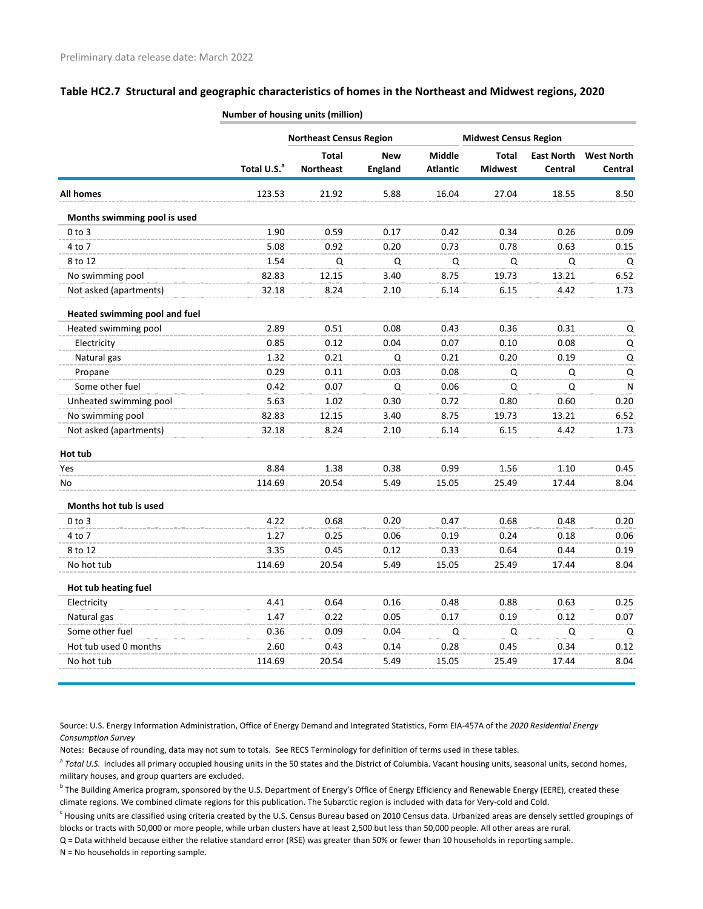|                               |                         | <b>Northeast Census Region</b> |                |                 |                                              |                   |                   |
|-------------------------------|-------------------------|--------------------------------|----------------|-----------------|----------------------------------------------|-------------------|-------------------|
|                               |                         | <b>Total</b>                   | <b>New</b>     | <b>Middle</b>   | <b>Midwest Census Region</b><br><b>Total</b> | <b>East North</b> | <b>West North</b> |
|                               | Total U.S. <sup>a</sup> | <b>Northeast</b>               | <b>England</b> | <b>Atlantic</b> | <b>Midwest</b>                               | Central           | Central           |
| <b>All homes</b>              | 123.53                  | 21.92                          | 5.88           | 16.04           | 27.04                                        | 18.55             | 8.50              |
| Months swimming pool is used  |                         |                                |                |                 |                                              |                   |                   |
| $0$ to $3$                    | 1.90                    | 0.59                           | 0.17           | 0.42            | 0.34                                         | 0.26              | 0.09              |
| 4 to 7                        | 5.08                    | 0.92                           | 0.20           | 0.73            | 0.78                                         | 0.63              | 0.15              |
| 8 to 12                       | 1.54                    | Q                              | Q              | Q               | Q                                            | Q                 | Q                 |
| No swimming pool              | 82.83                   | 12.15                          | 3.40           | 8.75            | 19.73                                        | 13.21             | 6.52              |
| Not asked (apartments)        | 32.18                   | 8.24                           | 2.10           | 6.14            | 6.15                                         | 4.42              | 1.73              |
| Heated swimming pool and fuel |                         |                                |                |                 |                                              |                   |                   |
| Heated swimming pool          | 2.89                    | 0.51                           | 0.08           | 0.43            | 0.36                                         | 0.31              | Q                 |
| Electricity                   | 0.85                    | 0.12                           | 0.04           | 0.07            | 0.10                                         | 0.08              | Q                 |
| Natural gas                   | 1.32                    | 0.21                           | Q              | 0.21            | 0.20                                         | 0.19              | Q                 |
| Propane                       | 0.29                    | 0.11                           | 0.03           | 0.08            | Q                                            | Q                 | Q                 |
| Some other fuel               | 0.42                    | 0.07                           | Q              | 0.06            | Q                                            | Q                 | ${\sf N}$         |
| Unheated swimming pool        | 5.63                    | 1.02                           | 0.30           | 0.72            | 0.80                                         | 0.60              | 0.20              |
| No swimming pool              | 82.83                   | 12.15                          | 3.40           | 8.75            | 19.73                                        | 13.21             | 6.52              |
| Not asked (apartments)        | 32.18                   | 8.24                           | 2.10           | 6.14            | 6.15                                         | 4.42              | 1.73              |
| Hot tub                       |                         |                                |                |                 |                                              |                   |                   |
| Yes                           | 8.84                    | 1.38                           | 0.38           | 0.99            | 1.56                                         | 1.10              | 0.45              |
| No                            | 114.69                  | 20.54                          | 5.49           | 15.05           | 25.49                                        | 17.44             | 8.04              |
| Months hot tub is used        |                         |                                |                |                 |                                              |                   |                   |
| $0$ to $3$                    | 4.22                    | 0.68                           | 0.20           | 0.47            | 0.68                                         | 0.48              | 0.20              |
| 4 to 7                        | 1.27                    | 0.25                           | 0.06           | 0.19            | 0.24                                         | 0.18              | 0.06              |
| 8 to 12                       | 3.35                    | 0.45                           | 0.12           | 0.33            | 0.64                                         | 0.44              | 0.19              |
| No hot tub                    | 114.69                  | 20.54                          | 5.49           | 15.05           | 25.49                                        | 17.44             | 8.04              |
| Hot tub heating fuel          |                         |                                |                |                 |                                              |                   |                   |
| Electricity                   | 4.41                    | 0.64                           | 0.16           | 0.48            | 0.88                                         | 0.63              | 0.25              |
| Natural gas                   | 1.47                    | 0.22                           | 0.05           | 0.17            | 0.19                                         | 0.12              | 0.07              |
| Some other fuel               | 0.36                    | 0.09                           | 0.04           | Q               | Q                                            | Q                 | Q                 |
| Hot tub used 0 months         | 2.60                    | 0.43                           | 0.14           | 0.28            | 0.45                                         | 0.34              | 0.12              |
| No hot tub                    | 114.69                  | 20.54                          | 5.49           | 15.05           | 25.49                                        | 17.44             | 8.04              |

**Number of housing units (million)**

Source: U.S. Energy Information Administration, Office of Energy Demand and Integrated Statistics, Form EIA-457A of the *2020 Residential Energy Consumption Survey*

Notes: Because of rounding, data may not sum to totals. See RECS Terminology for definition of terms used in these tables.

<sup>a</sup> Total U.S. includes all primary occupied housing units in the 50 states and the District of Columbia. Vacant housing units, seasonal units, second homes, military houses, and group quarters are excluded.

<sup>b</sup> The Building America program, sponsored by the U.S. Department of Energy's Office of Energy Efficiency and Renewable Energy (EERE), created these climate regions. We combined climate regions for this publication. The Subarctic region is included with data for Very-cold and Cold.

 $^c$  Housing units are classified using criteria created by the U.S. Census Bureau based on 2010 Census data. Urbanized areas are densely settled groupings of blocks or tracts with 50,000 or more people, while urban clusters have at least 2,500 but less than 50,000 people. All other areas are rural.

Q = Data withheld because either the relative standard error (RSE) was greater than 50% or fewer than 10 households in reporting sample.

N = No households in reporting sample.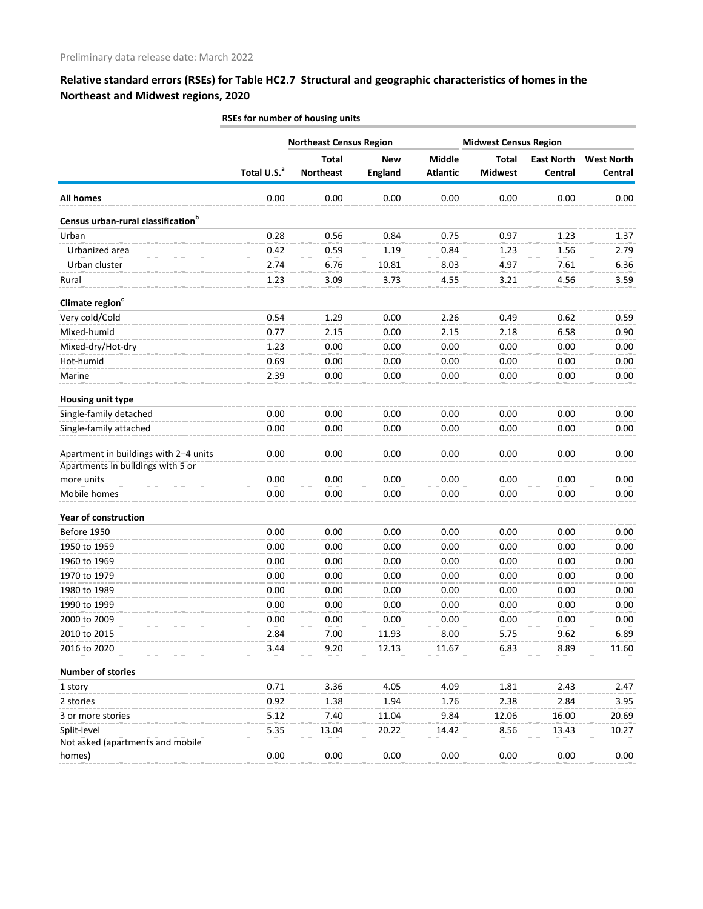|                                                | RSEs for number of housing units |                                |                |                 |                              |                   |                   |  |  |
|------------------------------------------------|----------------------------------|--------------------------------|----------------|-----------------|------------------------------|-------------------|-------------------|--|--|
|                                                |                                  | <b>Northeast Census Region</b> |                |                 | <b>Midwest Census Region</b> |                   |                   |  |  |
|                                                |                                  | <b>Total</b>                   | <b>New</b>     | <b>Middle</b>   | <b>Total</b>                 | <b>East North</b> | <b>West North</b> |  |  |
|                                                | Total U.S. <sup>a</sup>          | <b>Northeast</b>               | <b>England</b> | <b>Atlantic</b> | <b>Midwest</b>               | Central           | Central           |  |  |
| <b>All homes</b>                               | 0.00                             | 0.00                           | 0.00           | 0.00            | 0.00                         | 0.00              | 0.00              |  |  |
| Census urban-rural classification <sup>b</sup> |                                  |                                |                |                 |                              |                   |                   |  |  |
| Urban                                          | 0.28                             | 0.56                           | 0.84           | 0.75            | 0.97                         | 1.23              | 1.37              |  |  |
| Urbanized area                                 | 0.42                             | 0.59                           | 1.19           | 0.84            | 1.23                         | 1.56              | 2.79              |  |  |
| Urban cluster                                  | 2.74                             | 6.76                           | 10.81          | 8.03            | 4.97                         | 7.61              | 6.36              |  |  |
| Rural                                          | 1.23                             | 3.09                           | 3.73           | 4.55            | 3.21                         | 4.56              | 3.59              |  |  |
| Climate region <sup>c</sup>                    |                                  |                                |                |                 |                              |                   |                   |  |  |
| Very cold/Cold                                 | 0.54                             | 1.29                           | 0.00           | 2.26            | 0.49                         | 0.62              | 0.59              |  |  |
| Mixed-humid                                    | 0.77                             | 2.15                           | 0.00           | 2.15            | 2.18                         | 6.58              | 0.90              |  |  |
| Mixed-dry/Hot-dry                              | 1.23                             | 0.00                           | 0.00           | 0.00            | 0.00                         | 0.00              | 0.00              |  |  |
| Hot-humid                                      | 0.69                             | 0.00                           | 0.00           | 0.00            | 0.00                         | 0.00              | 0.00              |  |  |
| Marine                                         | 2.39                             | 0.00                           | 0.00           | 0.00            | 0.00                         | 0.00              | 0.00              |  |  |
| Housing unit type                              |                                  |                                |                |                 |                              |                   |                   |  |  |
| Single-family detached                         | 0.00                             | 0.00                           | 0.00           | 0.00            | 0.00                         | 0.00              | 0.00              |  |  |
| Single-family attached                         | 0.00                             | 0.00                           | 0.00           | 0.00            | 0.00                         | 0.00              | 0.00              |  |  |
| Apartment in buildings with 2-4 units          | 0.00                             | 0.00                           | 0.00           | 0.00            | 0.00                         | 0.00              | 0.00              |  |  |
| Apartments in buildings with 5 or              |                                  |                                |                |                 |                              |                   |                   |  |  |
| more units                                     | 0.00                             | 0.00                           | 0.00           | 0.00            | 0.00                         | 0.00              | 0.00              |  |  |
| Mobile homes                                   | 0.00                             | 0.00                           | 0.00           | 0.00            | 0.00                         | 0.00              | 0.00              |  |  |
| <b>Year of construction</b>                    |                                  |                                |                |                 |                              |                   |                   |  |  |
| Before 1950                                    | 0.00                             | 0.00                           | 0.00           | 0.00            | 0.00                         | 0.00              | 0.00              |  |  |
| 1950 to 1959                                   | 0.00                             | 0.00                           | 0.00           | 0.00            | 0.00                         | 0.00              | 0.00              |  |  |
| 1960 to 1969                                   | 0.00                             | 0.00                           | 0.00           | 0.00            | 0.00                         | 0.00              | 0.00              |  |  |
| 1970 to 1979                                   | 0.00                             | 0.00                           | 0.00           | 0.00            | 0.00                         | 0.00              | 0.00              |  |  |
| 1980 to 1989                                   | 0.00                             | 0.00                           | 0.00           | 0.00            | 0.00                         | 0.00              | 0.00              |  |  |
| 1990 to 1999                                   | 0.00                             | 0.00                           | 0.00           | 0.00            | 0.00                         | 0.00              | 0.00              |  |  |
| 2000 to 2009                                   | 0.00                             | 0.00                           | 0.00           | 0.00            | 0.00                         | 0.00              | 0.00              |  |  |
| 2010 to 2015                                   | 2.84                             | 7.00                           | 11.93          | 8.00            | 5.75                         | 9.62              | 6.89              |  |  |
| 2016 to 2020                                   | 3.44                             | 9.20                           | 12.13          | 11.67           | 6.83                         | 8.89              | 11.60             |  |  |
| <b>Number of stories</b>                       |                                  |                                |                |                 |                              |                   |                   |  |  |
| 1 story                                        | 0.71                             | 3.36                           | 4.05           | 4.09            | 1.81                         | 2.43              | 2.47              |  |  |
| 2 stories                                      | 0.92                             | 1.38                           | 1.94           | 1.76            | 2.38                         | 2.84              | 3.95              |  |  |
| 3 or more stories                              | 5.12                             | 7.40                           | 11.04          | 9.84            | 12.06                        | 16.00             | 20.69             |  |  |
| Split-level                                    | 5.35                             | 13.04                          | 20.22          | 14.42           | 8.56                         | 13.43             | 10.27             |  |  |
| Not asked (apartments and mobile               |                                  |                                |                |                 |                              |                   |                   |  |  |
| homes)                                         | 0.00                             | 0.00                           | 0.00           | 0.00            | 0.00                         | 0.00              | 0.00              |  |  |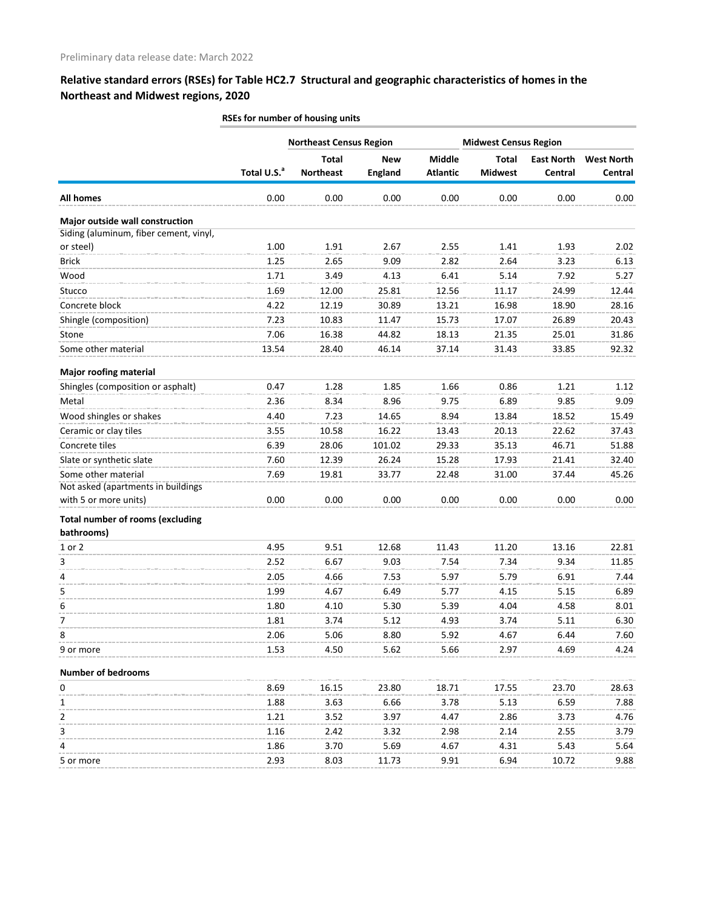|                                         | RSEs for number of housing units |                                |                |                 |                |                              |                   |  |  |
|-----------------------------------------|----------------------------------|--------------------------------|----------------|-----------------|----------------|------------------------------|-------------------|--|--|
|                                         |                                  | <b>Northeast Census Region</b> |                |                 |                | <b>Midwest Census Region</b> |                   |  |  |
|                                         |                                  | <b>Total</b>                   | <b>New</b>     | Middle          | <b>Total</b>   | <b>East North</b>            | <b>West North</b> |  |  |
|                                         | Total U.S. <sup>a</sup>          | <b>Northeast</b>               | <b>England</b> | <b>Atlantic</b> | <b>Midwest</b> | Central                      | Central           |  |  |
| <b>All homes</b>                        | 0.00                             | 0.00                           | 0.00           | 0.00            | 0.00           | 0.00                         | 0.00              |  |  |
| Major outside wall construction         |                                  |                                |                |                 |                |                              |                   |  |  |
| Siding (aluminum, fiber cement, vinyl,  |                                  |                                |                |                 |                |                              |                   |  |  |
| or steel)                               | 1.00                             | 1.91                           | 2.67           | 2.55            | 1.41           | 1.93                         | 2.02              |  |  |
| <b>Brick</b>                            | 1.25                             | 2.65                           | 9.09           | 2.82            | 2.64           | 3.23                         | 6.13              |  |  |
| Wood                                    | 1.71                             | 3.49                           | 4.13           | 6.41            | 5.14           | 7.92                         | 5.27              |  |  |
| Stucco                                  | 1.69                             | 12.00                          | 25.81          | 12.56           | 11.17          | 24.99                        | 12.44             |  |  |
| Concrete block                          | 4.22                             | 12.19                          | 30.89          | 13.21           | 16.98          | 18.90                        | 28.16             |  |  |
| Shingle (composition)                   | 7.23                             | 10.83                          | 11.47          | 15.73           | 17.07          | 26.89                        | 20.43             |  |  |
| Stone                                   | 7.06                             | 16.38                          | 44.82          | 18.13           | 21.35          | 25.01                        | 31.86             |  |  |
| Some other material                     | 13.54                            | 28.40                          | 46.14          | 37.14           | 31.43          | 33.85                        | 92.32             |  |  |
| <b>Major roofing material</b>           |                                  |                                |                |                 |                |                              |                   |  |  |
| Shingles (composition or asphalt)       | 0.47                             | 1.28                           | 1.85           | 1.66            | 0.86           | 1.21                         | 1.12              |  |  |
| Metal                                   | 2.36                             | 8.34                           | 8.96           | 9.75            | 6.89           | 9.85                         | 9.09              |  |  |
| Wood shingles or shakes                 | 4.40                             | 7.23                           | 14.65          | 8.94            | 13.84          | 18.52                        | 15.49             |  |  |
| Ceramic or clay tiles                   | 3.55                             | 10.58                          | 16.22          | 13.43           | 20.13          | 22.62                        | 37.43             |  |  |
| Concrete tiles                          | 6.39                             | 28.06                          | 101.02         | 29.33           | 35.13          | 46.71                        | 51.88             |  |  |
| Slate or synthetic slate                | 7.60                             | 12.39                          | 26.24          | 15.28           | 17.93          | 21.41                        | 32.40             |  |  |
| Some other material                     | 7.69                             | 19.81                          | 33.77          | 22.48           | 31.00          | 37.44                        | 45.26             |  |  |
| Not asked (apartments in buildings      |                                  |                                |                |                 |                |                              |                   |  |  |
| with 5 or more units)                   | 0.00                             | 0.00                           | 0.00           | 0.00            | 0.00           | 0.00                         | 0.00              |  |  |
| <b>Total number of rooms (excluding</b> |                                  |                                |                |                 |                |                              |                   |  |  |
| bathrooms)                              |                                  |                                |                |                 |                |                              |                   |  |  |
| 1 or 2                                  | 4.95                             | 9.51                           | 12.68          | 11.43           | 11.20          | 13.16                        | 22.81             |  |  |
| 3                                       | 2.52                             | 6.67                           | 9.03           | 7.54            | 7.34           | 9.34                         | 11.85             |  |  |
| 4                                       | 2.05                             | 4.66                           | 7.53           | 5.97            | 5.79           | 6.91                         | 7.44              |  |  |
| 5                                       | 1.99                             | 4.67                           | 6.49           | 5.77            | 4.15           | 5.15                         | 6.89              |  |  |
| 6                                       | 1.80                             | 4.10                           | 5.30           | 5.39            | 4.04           | 4.58                         | 8.01              |  |  |
| 7                                       | 1.81                             | 3.74                           | 5.12           | 4.93            | 3.74           | 5.11                         | 6.30              |  |  |
| 8                                       | 2.06                             | 5.06                           | 8.80           | 5.92            | 4.67           | 6.44                         | 7.60              |  |  |
| 9 or more                               | 1.53                             | 4.50                           | 5.62           | 5.66            | 2.97           | 4.69                         | 4.24              |  |  |
| <b>Number of bedrooms</b>               |                                  |                                |                |                 |                |                              |                   |  |  |
| 0                                       | 8.69                             | 16.15                          | 23.80          | 18.71           | 17.55          | 23.70                        | 28.63             |  |  |
| 1                                       | 1.88                             | 3.63                           | 6.66           | 3.78            | 5.13           | 6.59                         | 7.88              |  |  |
| 2                                       | 1.21                             | 3.52                           | 3.97           | 4.47            | 2.86           | 3.73                         | 4.76              |  |  |
| 3                                       | 1.16                             | 2.42                           | 3.32           | 2.98            | 2.14           | 2.55                         | 3.79              |  |  |
| 4                                       | 1.86                             | 3.70                           | 5.69           | 4.67            | 4.31           | 5.43                         | 5.64              |  |  |
| 5 or more                               | 2.93                             | 8.03                           | 11.73          | 9.91            | 6.94           | 10.72                        | 9.88              |  |  |
|                                         |                                  |                                |                |                 |                |                              |                   |  |  |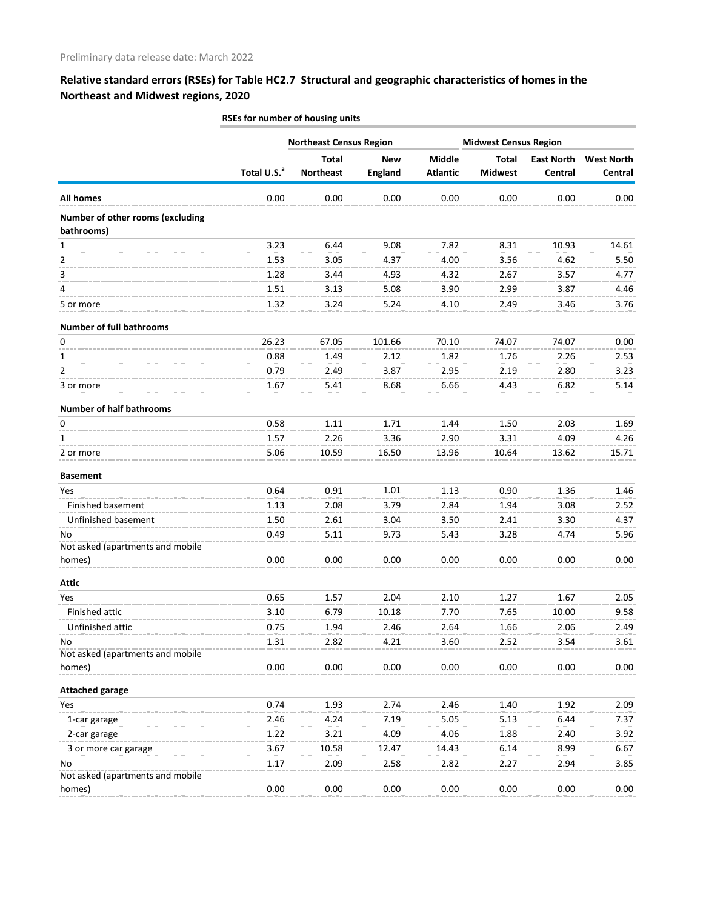|                                  |                         | <b>Northeast Census Region</b> |                |                                  | <b>Midwest Census Region</b>   |                   |                   |  |
|----------------------------------|-------------------------|--------------------------------|----------------|----------------------------------|--------------------------------|-------------------|-------------------|--|
|                                  | Total U.S. <sup>a</sup> | <b>Total</b>                   | <b>New</b>     | <b>Middle</b><br><b>Atlantic</b> | <b>Total</b><br><b>Midwest</b> | <b>East North</b> | <b>West North</b> |  |
|                                  |                         | <b>Northeast</b>               | <b>England</b> |                                  |                                | Central           | Central           |  |
| All homes                        | 0.00                    | 0.00                           | 0.00           | 0.00                             | 0.00                           | 0.00              | 0.00              |  |
| Number of other rooms (excluding |                         |                                |                |                                  |                                |                   |                   |  |
| bathrooms)                       |                         |                                |                |                                  |                                |                   |                   |  |
| $\mathbf{1}$                     | 3.23                    | 6.44                           | 9.08           | 7.82                             | 8.31                           | 10.93             | 14.61             |  |
| 2                                | 1.53                    | 3.05                           | 4.37           | 4.00                             | 3.56                           | 4.62              | 5.50              |  |
| 3                                | 1.28                    | 3.44                           | 4.93           | 4.32                             | 2.67                           | 3.57              | 4.77              |  |
| 4                                | 1.51                    | 3.13                           | 5.08           | 3.90                             | 2.99                           | 3.87              | 4.46              |  |
| 5 or more                        | 1.32                    | 3.24                           | 5.24           | 4.10                             | 2.49                           | 3.46              | 3.76              |  |
| <b>Number of full bathrooms</b>  |                         |                                |                |                                  |                                |                   |                   |  |
| 0                                | 26.23                   | 67.05                          | 101.66         | 70.10                            | 74.07                          | 74.07             | 0.00              |  |
| 1                                | 0.88                    | 1.49                           | 2.12           | 1.82                             | 1.76                           | 2.26              | 2.53              |  |
| $\overline{2}$                   | 0.79                    | 2.49                           | 3.87           | 2.95                             | 2.19                           | 2.80              | 3.23              |  |
| 3 or more                        | 1.67                    | 5.41                           | 8.68           | 6.66                             | 4.43                           | 6.82              | 5.14              |  |
| <b>Number of half bathrooms</b>  |                         |                                |                |                                  |                                |                   |                   |  |
| 0                                | 0.58                    | 1.11                           | 1.71           | 1.44                             | 1.50                           | 2.03              | 1.69              |  |
| 1                                | 1.57                    | 2.26                           | 3.36           | 2.90                             | 3.31                           | 4.09              | 4.26              |  |
| 2 or more                        | 5.06                    | 10.59                          | 16.50          | 13.96                            | 10.64                          | 13.62             | 15.71             |  |
|                                  |                         |                                |                |                                  |                                |                   |                   |  |
| <b>Basement</b><br>Yes           | 0.64                    | 0.91                           | 1.01           | 1.13                             | 0.90                           | 1.36              | 1.46              |  |
| Finished basement                | 1.13                    | 2.08                           | 3.79           | 2.84                             | 1.94                           | 3.08              | 2.52              |  |
| Unfinished basement              | 1.50                    | 2.61                           | 3.04           | 3.50                             | 2.41                           | 3.30              | 4.37              |  |
| No                               | 0.49                    | 5.11                           | 9.73           | 5.43                             | 3.28                           | 4.74              | 5.96              |  |
| Not asked (apartments and mobile |                         |                                |                |                                  |                                |                   |                   |  |
| homes)                           | 0.00                    | 0.00                           | 0.00           | 0.00                             | 0.00                           | 0.00              | 0.00              |  |
| <b>Attic</b>                     |                         |                                |                |                                  |                                |                   |                   |  |
| Yes                              | 0.65                    | 1.57                           | 2.04           | 2.10                             | 1.27                           | 1.67              | 2.05              |  |
| Finished attic                   | 3.10                    | 6.79                           | 10.18          | 7.70                             | 7.65                           | 10.00             | 9.58              |  |
| Unfinished attic                 | 0.75                    | 1.94                           | 2.46           | 2.64                             | 1.66                           | 2.06              | 2.49              |  |
| No                               | 1.31                    | 2.82                           | 4.21           | 3.60                             | 2.52                           | 3.54              | 3.61              |  |
| Not asked (apartments and mobile |                         |                                |                |                                  |                                |                   |                   |  |
| homes)                           | 0.00                    | 0.00                           | 0.00           | 0.00                             | 0.00                           | 0.00              | 0.00              |  |
| <b>Attached garage</b>           |                         |                                |                |                                  |                                |                   |                   |  |
| Yes                              | 0.74                    | 1.93                           | 2.74           | 2.46                             | 1.40                           | 1.92              | 2.09              |  |
| 1-car garage                     | 2.46                    | 4.24                           | 7.19           | 5.05                             | 5.13                           | 6.44              | 7.37              |  |
| 2-car garage                     | 1.22                    | 3.21                           | 4.09           | 4.06                             | 1.88                           | 2.40              | 3.92              |  |
| 3 or more car garage             | 3.67                    | 10.58                          | 12.47          | 14.43                            | 6.14                           | 8.99              | 6.67              |  |
| No                               | 1.17                    | 2.09                           | 2.58           | 2.82                             | 2.27                           | 2.94              | 3.85              |  |
| Not asked (apartments and mobile |                         |                                |                |                                  |                                |                   |                   |  |
| homes)                           | 0.00                    | 0.00                           | 0.00           | 0.00                             | 0.00                           | 0.00              | 0.00              |  |

**RSEs for number of housing units**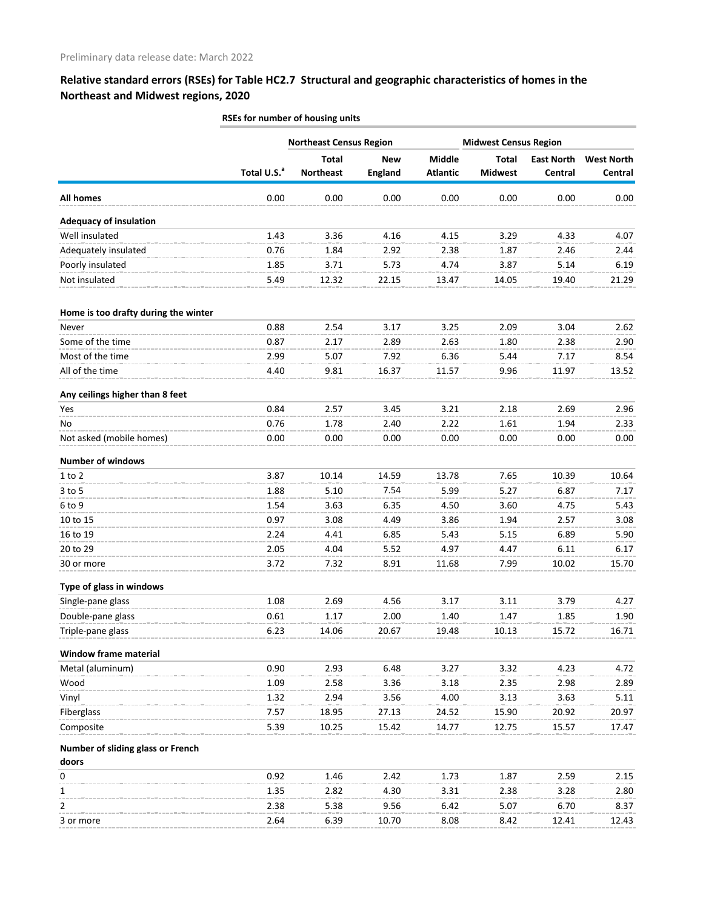|                                            | RSEs for number of housing units |                                  |                              |                                  |                                |                              |                              |  |  |  |  |
|--------------------------------------------|----------------------------------|----------------------------------|------------------------------|----------------------------------|--------------------------------|------------------------------|------------------------------|--|--|--|--|
|                                            |                                  | <b>Northeast Census Region</b>   |                              |                                  | <b>Midwest Census Region</b>   |                              |                              |  |  |  |  |
|                                            | Total U.S. <sup>a</sup>          | <b>Total</b><br><b>Northeast</b> | <b>New</b><br><b>England</b> | <b>Middle</b><br><b>Atlantic</b> | <b>Total</b><br><b>Midwest</b> | <b>East North</b><br>Central | <b>West North</b><br>Central |  |  |  |  |
| <b>All homes</b>                           | 0.00                             | 0.00                             | 0.00                         | 0.00                             | 0.00                           | 0.00                         | 0.00                         |  |  |  |  |
| <b>Adequacy of insulation</b>              |                                  |                                  |                              |                                  |                                |                              |                              |  |  |  |  |
| Well insulated                             | 1.43                             | 3.36                             | 4.16                         | 4.15                             | 3.29                           | 4.33                         | 4.07                         |  |  |  |  |
| Adequately insulated                       | 0.76                             | 1.84                             | 2.92                         | 2.38                             | 1.87                           | 2.46                         | 2.44                         |  |  |  |  |
| Poorly insulated                           | 1.85                             | 3.71                             | 5.73                         | 4.74                             | 3.87                           | 5.14                         | 6.19                         |  |  |  |  |
| Not insulated                              | 5.49                             | 12.32                            | 22.15                        | 13.47                            | 14.05                          | 19.40                        | 21.29                        |  |  |  |  |
| Home is too drafty during the winter       |                                  |                                  |                              |                                  |                                |                              |                              |  |  |  |  |
| Never                                      | 0.88                             | 2.54                             | 3.17                         | 3.25                             | 2.09                           | 3.04                         | 2.62                         |  |  |  |  |
| Some of the time                           | 0.87                             | 2.17                             | 2.89                         | 2.63                             | 1.80                           | 2.38                         | 2.90                         |  |  |  |  |
| Most of the time                           | 2.99                             | 5.07                             | 7.92                         | 6.36                             | 5.44                           | 7.17                         | 8.54                         |  |  |  |  |
| All of the time                            | 4.40                             | 9.81                             | 16.37                        | 11.57                            | 9.96                           | 11.97                        | 13.52                        |  |  |  |  |
| Any ceilings higher than 8 feet            |                                  |                                  |                              |                                  |                                |                              |                              |  |  |  |  |
| Yes                                        | 0.84                             | 2.57                             | 3.45                         | 3.21                             | 2.18                           | 2.69                         | 2.96                         |  |  |  |  |
| No                                         | 0.76                             | 1.78                             | 2.40                         | 2.22                             | 1.61                           | 1.94                         | 2.33                         |  |  |  |  |
| Not asked (mobile homes)                   | 0.00                             | 0.00                             | 0.00                         | 0.00                             | 0.00                           | 0.00                         | 0.00                         |  |  |  |  |
| <b>Number of windows</b>                   |                                  |                                  |                              |                                  |                                |                              |                              |  |  |  |  |
| $1$ to $2$                                 | 3.87                             | 10.14                            | 14.59                        | 13.78                            | 7.65                           | 10.39                        | 10.64                        |  |  |  |  |
| $3$ to 5                                   | 1.88                             | 5.10                             | 7.54                         | 5.99                             | 5.27                           | 6.87                         | 7.17                         |  |  |  |  |
| 6 to 9                                     | 1.54                             | 3.63                             | 6.35                         | 4.50                             | 3.60                           | 4.75                         | 5.43                         |  |  |  |  |
| 10 to 15                                   | 0.97                             | 3.08                             | 4.49                         | 3.86                             | 1.94                           | 2.57                         | 3.08                         |  |  |  |  |
| 16 to 19                                   | 2.24                             | 4.41                             | 6.85                         | 5.43                             | 5.15                           | 6.89                         | 5.90                         |  |  |  |  |
| 20 to 29                                   | 2.05                             | 4.04                             | 5.52                         | 4.97                             | 4.47                           | 6.11                         | 6.17                         |  |  |  |  |
| 30 or more                                 | 3.72                             | 7.32                             | 8.91                         | 11.68                            | 7.99                           | 10.02                        | 15.70                        |  |  |  |  |
| Type of glass in windows                   |                                  |                                  |                              |                                  |                                |                              |                              |  |  |  |  |
| Single-pane glass                          | 1.08                             | 2.69                             | 4.56                         | 3.17                             | 3.11                           | 3.79                         | 4.27                         |  |  |  |  |
| Double-pane glass                          | 0.61                             | 1.17                             | 2.00                         | 1.40                             | 1.47                           | 1.85                         | 1.90                         |  |  |  |  |
| Triple-pane glass                          | 6.23                             | 14.06                            | 20.67                        | 19.48                            | 10.13                          | 15.72                        | 16.71                        |  |  |  |  |
| Window frame material                      |                                  |                                  |                              |                                  |                                |                              |                              |  |  |  |  |
| Metal (aluminum)                           | 0.90                             | 2.93                             | 6.48                         | 3.27                             | 3.32                           | 4.23                         | 4.72                         |  |  |  |  |
| Wood                                       | 1.09                             | 2.58                             | 3.36                         | 3.18                             | 2.35                           | 2.98                         | 2.89                         |  |  |  |  |
| Vinyl                                      | 1.32                             | 2.94                             | 3.56                         | 4.00                             | 3.13                           | 3.63                         | 5.11                         |  |  |  |  |
| Fiberglass                                 | 7.57                             | 18.95                            | 27.13                        | 24.52                            | 15.90                          | 20.92                        | 20.97                        |  |  |  |  |
| Composite                                  | 5.39                             | 10.25                            | 15.42                        | 14.77                            | 12.75                          | 15.57                        | 17.47                        |  |  |  |  |
| Number of sliding glass or French<br>doors |                                  |                                  |                              |                                  |                                |                              |                              |  |  |  |  |
| 0                                          | 0.92                             | 1.46                             | 2.42                         | 1.73                             | 1.87                           | 2.59                         | 2.15                         |  |  |  |  |
| 1                                          | 1.35                             | 2.82                             | 4.30                         | 3.31                             | 2.38                           | 3.28                         | 2.80                         |  |  |  |  |
| 2                                          | 2.38                             | 5.38                             | 9.56                         | 6.42                             | 5.07                           | 6.70                         | 8.37                         |  |  |  |  |
| 3 or more                                  | 2.64                             | 6.39                             | 10.70                        | 8.08                             | 8.42                           | 12.41                        | 12.43                        |  |  |  |  |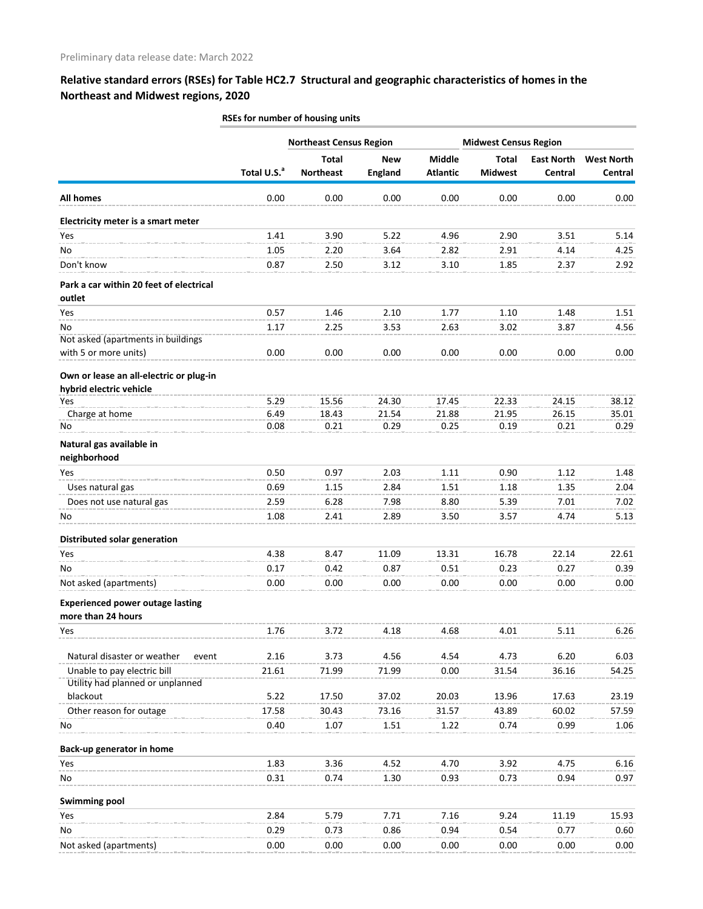|                                                                    |                         | RSEs for number of housing units |                              |                           |                                |                              |                              |  |  |  |
|--------------------------------------------------------------------|-------------------------|----------------------------------|------------------------------|---------------------------|--------------------------------|------------------------------|------------------------------|--|--|--|
|                                                                    |                         | <b>Northeast Census Region</b>   |                              |                           | <b>Midwest Census Region</b>   |                              |                              |  |  |  |
|                                                                    | Total U.S. <sup>a</sup> | <b>Total</b><br><b>Northeast</b> | <b>New</b><br><b>England</b> | Middle<br><b>Atlantic</b> | <b>Total</b><br><b>Midwest</b> | <b>East North</b><br>Central | <b>West North</b><br>Central |  |  |  |
| <b>All homes</b>                                                   | 0.00                    | 0.00                             | 0.00                         | 0.00                      | 0.00                           | 0.00                         | 0.00                         |  |  |  |
| Electricity meter is a smart meter                                 |                         |                                  |                              |                           |                                |                              |                              |  |  |  |
| Yes                                                                | 1.41                    | 3.90                             | 5.22                         | 4.96                      | 2.90                           | 3.51                         | 5.14                         |  |  |  |
| No                                                                 | 1.05                    | 2.20                             | 3.64                         | 2.82                      | 2.91                           | 4.14                         | 4.25                         |  |  |  |
| Don't know                                                         | 0.87                    | 2.50                             | 3.12                         | 3.10                      | 1.85                           | 2.37                         | 2.92                         |  |  |  |
| Park a car within 20 feet of electrical<br>outlet                  |                         |                                  |                              |                           |                                |                              |                              |  |  |  |
| Yes                                                                | 0.57                    | 1.46                             | 2.10                         | 1.77                      | 1.10                           | 1.48                         | 1.51                         |  |  |  |
| No                                                                 | 1.17                    | 2.25                             | 3.53                         | 2.63                      | 3.02                           | 3.87                         | 4.56                         |  |  |  |
| Not asked (apartments in buildings                                 |                         |                                  |                              |                           |                                |                              |                              |  |  |  |
| with 5 or more units)                                              | 0.00                    | 0.00                             | 0.00                         | 0.00                      | 0.00                           | 0.00                         | 0.00                         |  |  |  |
| Own or lease an all-electric or plug-in<br>hybrid electric vehicle |                         |                                  |                              |                           |                                |                              |                              |  |  |  |
| Yes                                                                | 5.29                    | 15.56                            | 24.30                        | 17.45                     | 22.33                          | 24.15                        | 38.12                        |  |  |  |
| Charge at home                                                     | 6.49                    | 18.43                            | 21.54                        | 21.88                     | 21.95                          | 26.15                        | 35.01                        |  |  |  |
| No                                                                 | 0.08                    | 0.21                             | 0.29                         | 0.25                      | 0.19                           | 0.21                         | 0.29                         |  |  |  |
| Natural gas available in<br>neighborhood                           |                         |                                  |                              |                           |                                |                              |                              |  |  |  |
| Yes                                                                | 0.50                    | 0.97                             | 2.03                         | 1.11                      | 0.90                           | 1.12                         | 1.48                         |  |  |  |
| Uses natural gas                                                   | 0.69                    | 1.15                             | 2.84                         | 1.51                      | 1.18                           | 1.35                         | 2.04                         |  |  |  |
| Does not use natural gas                                           | 2.59                    | 6.28                             | 7.98                         | 8.80                      | 5.39                           | 7.01                         | 7.02                         |  |  |  |
| No                                                                 | 1.08                    | 2.41                             | 2.89                         | 3.50                      | 3.57                           | 4.74                         | 5.13                         |  |  |  |
| Distributed solar generation                                       |                         |                                  |                              |                           |                                |                              |                              |  |  |  |
| Yes                                                                | 4.38                    | 8.47                             | 11.09                        | 13.31                     | 16.78                          | 22.14                        | 22.61                        |  |  |  |
| No                                                                 | 0.17                    | 0.42                             | 0.87                         | 0.51                      | 0.23                           | 0.27                         | 0.39                         |  |  |  |
| Not asked (apartments)                                             | 0.00                    | 0.00                             | 0.00                         | 0.00                      | 0.00                           | 0.00                         | 0.00                         |  |  |  |
| <b>Experienced power outage lasting</b>                            |                         |                                  |                              |                           |                                |                              |                              |  |  |  |
| more than 24 hours                                                 |                         |                                  |                              |                           |                                |                              |                              |  |  |  |
| Yes                                                                | 1.76                    | 3.72                             | 4.18                         | 4.68                      | 4.01                           | 5.11                         | 6.26                         |  |  |  |
| Natural disaster or weather<br>event                               | 2.16                    | 3.73                             | 4.56                         | 4.54                      | 4.73                           | 6.20                         | 6.03                         |  |  |  |
| Unable to pay electric bill                                        | 21.61                   | 71.99                            | 71.99                        | 0.00                      | 31.54                          | 36.16                        | 54.25                        |  |  |  |
| Utility had planned or unplanned                                   |                         |                                  |                              |                           |                                |                              |                              |  |  |  |
| blackout                                                           | 5.22                    | 17.50                            | 37.02                        | 20.03                     | 13.96                          | 17.63                        | 23.19                        |  |  |  |
| Other reason for outage                                            | 17.58                   | 30.43                            | 73.16                        | 31.57                     | 43.89                          | 60.02                        | 57.59                        |  |  |  |
| No                                                                 | 0.40                    | 1.07                             | 1.51                         | 1.22                      | 0.74                           | 0.99                         | 1.06                         |  |  |  |
| Back-up generator in home                                          |                         |                                  |                              |                           |                                |                              |                              |  |  |  |
| Yes                                                                | 1.83                    | 3.36                             | 4.52                         | 4.70                      | 3.92                           | 4.75                         | 6.16                         |  |  |  |
| No                                                                 | 0.31                    | 0.74                             | 1.30                         | 0.93                      | 0.73                           | 0.94                         | 0.97                         |  |  |  |
| <b>Swimming pool</b>                                               |                         |                                  |                              |                           |                                |                              |                              |  |  |  |
| Yes                                                                | 2.84                    | 5.79                             | 7.71                         | 7.16                      | 9.24                           | 11.19                        | 15.93                        |  |  |  |
| No                                                                 | 0.29                    | 0.73                             | 0.86                         | 0.94                      | 0.54                           | 0.77                         | 0.60                         |  |  |  |
| Not asked (apartments)                                             | 0.00                    | 0.00                             | 0.00                         | 0.00                      | 0.00                           | 0.00                         | 0.00                         |  |  |  |
|                                                                    |                         |                                  |                              |                           |                                |                              |                              |  |  |  |